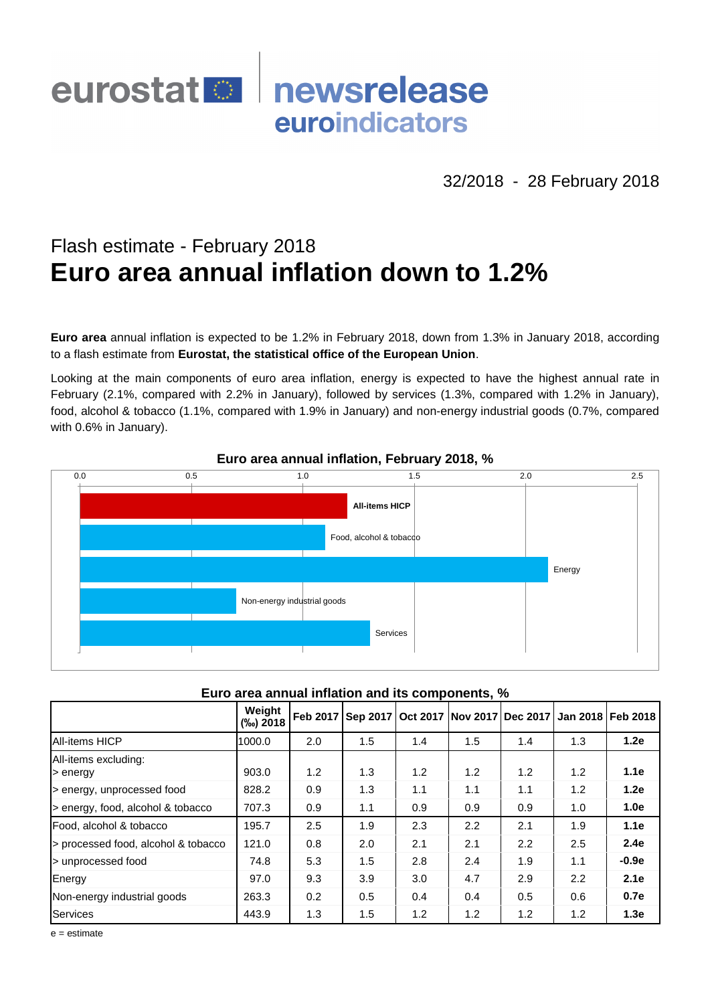# eurostat **De** newsrelease euroindicators

32/2018 - 28 February 2018

## Flash estimate - February 2018 **Euro area annual inflation down to 1.2%**

**Euro area** annual inflation is expected to be 1.2% in February 2018, down from 1.3% in January 2018, according to a flash estimate from **Eurostat, the statistical office of the European Union**.

Looking at the main components of euro area inflation, energy is expected to have the highest annual rate in February (2.1%, compared with 2.2% in January), followed by services (1.3%, compared with 1.2% in January), food, alcohol & tobacco (1.1%, compared with 1.9% in January) and non-energy industrial goods (0.7%, compared with 0.6% in January).



### **Euro area annual inflation, February 2018, %**

#### **Euro area annual inflation and its components, %**

|                                                  |                    |                             | <b>All-items HICP</b>                        |     |     |     |        |                   |
|--------------------------------------------------|--------------------|-----------------------------|----------------------------------------------|-----|-----|-----|--------|-------------------|
|                                                  |                    |                             | Food, alcohol & tobacco                      |     |     |     |        |                   |
|                                                  |                    |                             |                                              |     |     |     | Energy |                   |
|                                                  |                    | Non-energy industrial goods |                                              |     |     |     |        |                   |
|                                                  |                    |                             | <b>Services</b>                              |     |     |     |        |                   |
|                                                  |                    |                             |                                              |     |     |     |        |                   |
| Euro area annual inflation and its components, % |                    |                             |                                              |     |     |     |        |                   |
|                                                  | Weight<br>(%) 2018 |                             | Feb 2017 Sep 2017 Oct 2017 Nov 2017 Dec 2017 |     |     |     |        | Jan 2018 Feb 2018 |
| <b>All-items HICP</b>                            | 1000.0             | 2.0                         | 1.5                                          | 1.4 | 1.5 | 1.4 | 1.3    | 1.2e              |
| All-items excluding:<br>> energy                 | 903.0              | 1.2                         | 1.3                                          | 1.2 | 1.2 | 1.2 | 1.2    | 1.1e              |
| > energy, unprocessed food                       | 828.2              | 0.9                         | 1.3                                          | 1.1 | 1.1 | 1.1 | 1.2    | 1.2e              |
| > energy, food, alcohol & tobacco                | 707.3              | 0.9                         | 1.1                                          | 0.9 | 0.9 | 0.9 | 1.0    | 1.0e              |
| Food, alcohol & tobacco                          | 195.7              | 2.5                         | 1.9                                          | 2.3 | 2.2 | 2.1 | 1.9    | 1.1e              |
| > processed food, alcohol & tobacco              | 121.0              | 0.8                         | 2.0                                          | 2.1 | 2.1 | 2.2 | 2.5    | 2.4e              |
| > unprocessed food                               | 74.8               | 5.3                         | 1.5                                          | 2.8 | 2.4 | 1.9 | 1.1    | $-0.9e$           |
| Energy                                           | 97.0               | 9.3                         | 3.9                                          | 3.0 | 4.7 | 2.9 | 2.2    | 2.1e              |
| Non-energy industrial goods                      | 263.3              | 0.2                         | 0.5                                          | 0.4 | 0.4 | 0.5 | 0.6    | 0.7e              |
| Services                                         | 443.9              | 1.3                         | 1.5                                          | 1.2 | 1.2 | 1.2 | 1.2    | 1.3e              |
| $e =$ estimate                                   |                    |                             |                                              |     |     |     |        |                   |